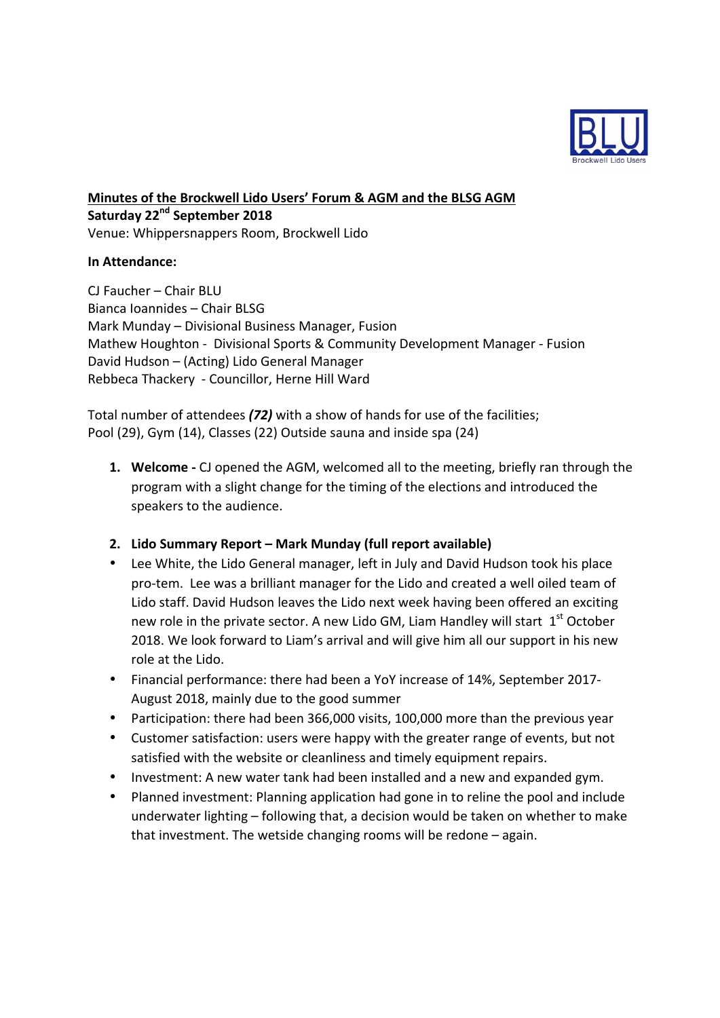

**Minutes of the Brockwell Lido Users' Forum & AGM and the BLSG AGM Saturday 22nd September 2018** Venue: Whippersnappers Room, Brockwell Lido

### **In Attendance:**

CJ Faucher - Chair BLU Bianca Ioannides – Chair BLSG Mark Munday – Divisional Business Manager, Fusion Mathew Houghton - Divisional Sports & Community Development Manager - Fusion David Hudson – (Acting) Lido General Manager Rebbeca Thackery - Councillor, Herne Hill Ward

Total number of attendees (72) with a show of hands for use of the facilities; Pool (29), Gym (14), Classes (22) Outside sauna and inside spa (24)

**1. Welcome** - CJ opened the AGM, welcomed all to the meeting, briefly ran through the program with a slight change for the timing of the elections and introduced the speakers to the audience.

## **2. Lido Summary Report – Mark Munday (full report available)**

- Lee White, the Lido General manager, left in July and David Hudson took his place pro-tem. Lee was a brilliant manager for the Lido and created a well oiled team of Lido staff. David Hudson leaves the Lido next week having been offered an exciting new role in the private sector. A new Lido GM, Liam Handley will start  $1<sup>st</sup>$  October 2018. We look forward to Liam's arrival and will give him all our support in his new role at the Lido.
- Financial performance: there had been a YoY increase of 14%, September 2017-August 2018, mainly due to the good summer
- Participation: there had been 366,000 visits, 100,000 more than the previous year
- Customer satisfaction: users were happy with the greater range of events, but not satisfied with the website or cleanliness and timely equipment repairs.
- Investment: A new water tank had been installed and a new and expanded gym.
- Planned investment: Planning application had gone in to reline the pool and include underwater lighting  $-$  following that, a decision would be taken on whether to make that investment. The wetside changing rooms will be redone  $-$  again.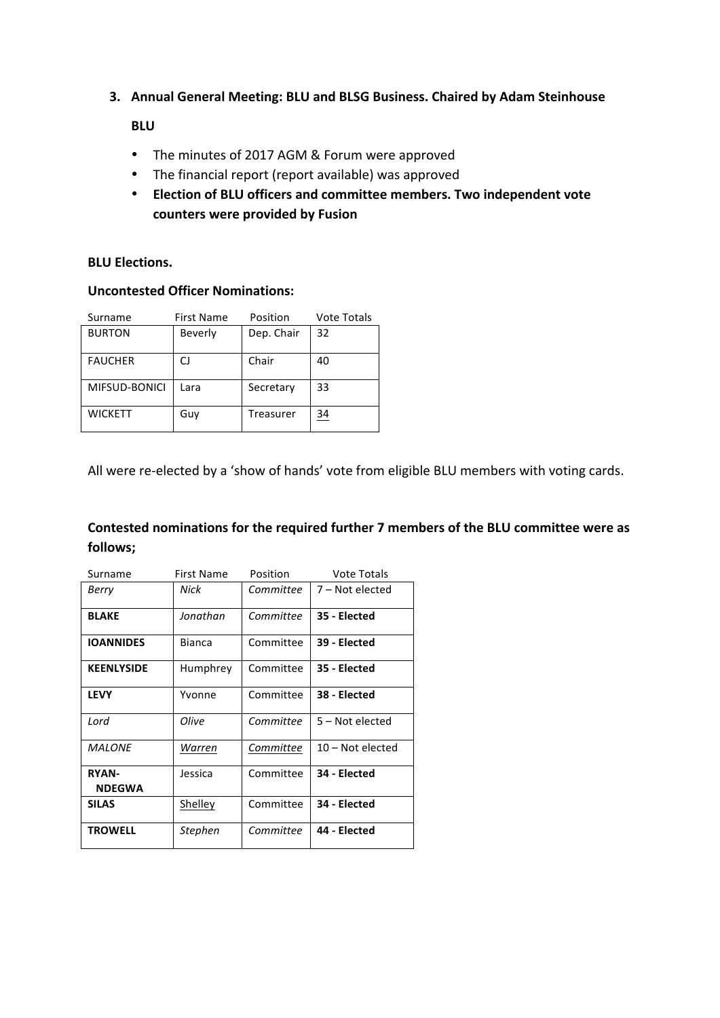**3. Annual General Meeting: BLU and BLSG Business. Chaired by Adam Steinhouse** 

### **BLU**

- The minutes of 2017 AGM & Forum were approved
- The financial report (report available) was approved
- Election of BLU officers and committee members. Two independent vote counters were provided by Fusion

#### **BLU** Flections.

# **Uncontested Officer Nominations:**

| Surname        | <b>First Name</b> | Position   | <b>Vote Totals</b> |
|----------------|-------------------|------------|--------------------|
| <b>BURTON</b>  | Beverly           | Dep. Chair | 32                 |
| <b>FAUCHER</b> | CJ                | Chair      | 40                 |
| MIFSUD-BONICI  | Lara              | Secretary  | 33                 |
| <b>WICKETT</b> | Guv               | Treasurer  | $\frac{34}{5}$     |

All were re-elected by a 'show of hands' vote from eligible BLU members with voting cards.

## Contested nominations for the required further 7 members of the BLU committee were as **follows;**

| Surname                       | <b>First Name</b> | Position  | <b>Vote Totals</b> |
|-------------------------------|-------------------|-----------|--------------------|
| Berry                         | Nick              | Committee | $7 - Not elected$  |
| <b>BLAKE</b>                  | Jonathan          | Committee | 35 - Elected       |
| <b>IOANNIDES</b>              | <b>Bianca</b>     | Committee | 39 - Elected       |
| <b>KEENLYSIDE</b>             | Humphrey          | Committee | 35 - Elected       |
| <b>LEVY</b>                   | Yvonne            | Committee | 38 - Elected       |
| Lord                          | Olive             | Committee | 5 – Not elected    |
| <b>MALONE</b>                 | Warren            | Committee | $10 - Not elected$ |
| <b>RYAN-</b><br><b>NDEGWA</b> | Jessica           | Committee | 34 - Elected       |
| <b>SILAS</b>                  | Shelley           | Committee | 34 - Elected       |
| <b>TROWELL</b>                | <b>Stephen</b>    | Committee | 44 - Elected       |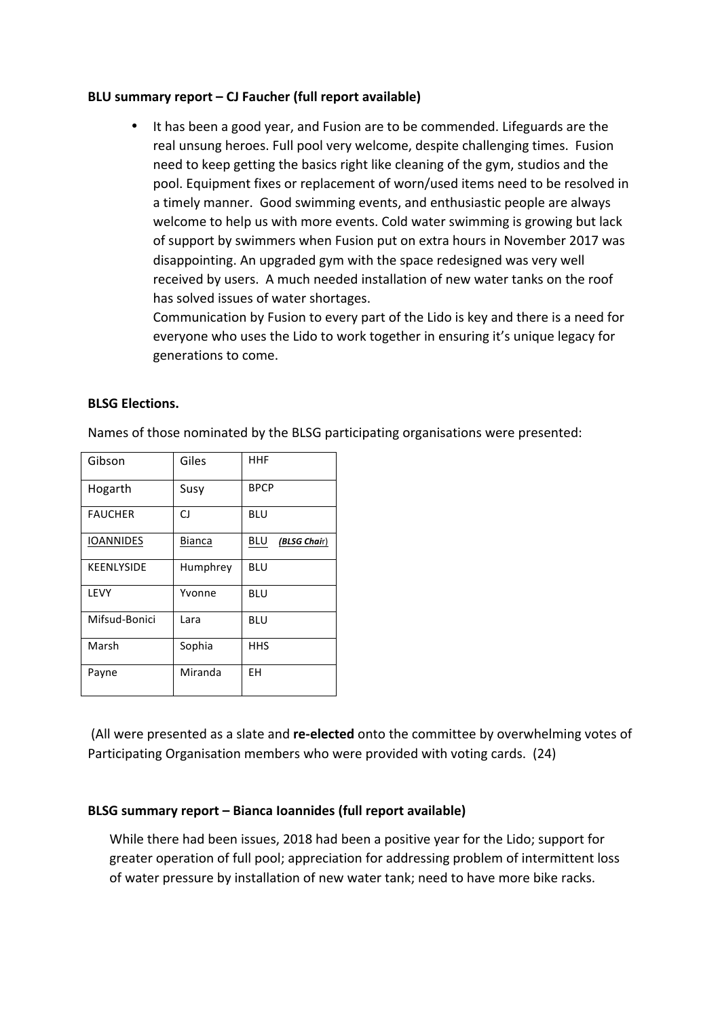#### **BLU** summary report – CJ Faucher (full report available)

• It has been a good year, and Fusion are to be commended. Lifeguards are the real unsung heroes. Full pool very welcome, despite challenging times. Fusion need to keep getting the basics right like cleaning of the gym, studios and the pool. Equipment fixes or replacement of worn/used items need to be resolved in a timely manner. Good swimming events, and enthusiastic people are always welcome to help us with more events. Cold water swimming is growing but lack of support by swimmers when Fusion put on extra hours in November 2017 was disappointing. An upgraded gym with the space redesigned was very well received by users. A much needed installation of new water tanks on the roof has solved issues of water shortages.

Communication by Fusion to every part of the Lido is key and there is a need for everyone who uses the Lido to work together in ensuring it's unique legacy for generations to come.

#### **BLSG Elections.**

Names of those nominated by the BLSG participating organisations were presented:

| Gibson            | Giles         | <b>HHF</b>                 |
|-------------------|---------------|----------------------------|
| Hogarth           | Susy          | <b>BPCP</b>                |
| <b>FAUCHER</b>    | CJ            | <b>BLU</b>                 |
| <b>IOANNIDES</b>  | <b>Bianca</b> | <b>BLU</b><br>(BLSG Chair) |
| <b>KEENLYSIDE</b> | Humphrey      | <b>BLU</b>                 |
| LEVY              | Yvonne        | BLU                        |
| Mifsud-Bonici     | Lara          | BLU                        |
| Marsh             | Sophia        | <b>HHS</b>                 |
| Payne             | Miranda       | EH                         |

(All were presented as a slate and re-elected onto the committee by overwhelming votes of Participating Organisation members who were provided with voting cards. (24)

#### **BLSG** summary report – Bianca Ioannides (full report available)

While there had been issues, 2018 had been a positive year for the Lido; support for greater operation of full pool; appreciation for addressing problem of intermittent loss of water pressure by installation of new water tank; need to have more bike racks.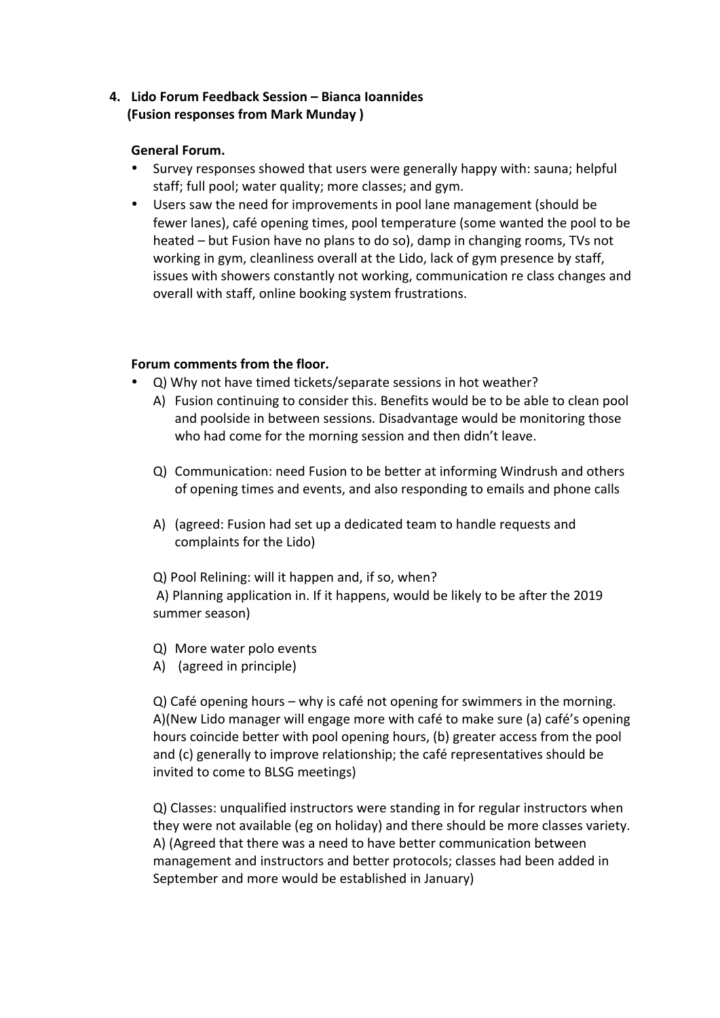## **4. Lido Forum Feedback Session – Bianca Ioannides (Fusion responses from Mark Munday)**

### **General Forum.**

- Survey responses showed that users were generally happy with: sauna; helpful staff; full pool; water quality; more classes; and gym.
- Users saw the need for improvements in pool lane management (should be fewer lanes), café opening times, pool temperature (some wanted the pool to be heated – but Fusion have no plans to do so), damp in changing rooms, TVs not working in gym, cleanliness overall at the Lido, lack of gym presence by staff, issues with showers constantly not working, communication re class changes and overall with staff, online booking system frustrations.

### **Forum comments from the floor.**

- Q) Why not have timed tickets/separate sessions in hot weather?
	- A) Fusion continuing to consider this. Benefits would be to be able to clean pool and poolside in between sessions. Disadvantage would be monitoring those who had come for the morning session and then didn't leave.
	- Q) Communication: need Fusion to be better at informing Windrush and others of opening times and events, and also responding to emails and phone calls
	- A) (agreed: Fusion had set up a dedicated team to handle requests and complaints for the Lido)

Q) Pool Relining: will it happen and, if so, when?

A) Planning application in. If it happens, would be likely to be after the 2019 summer season)

- Q) More water polo events
- A) (agreed in principle)

 $Q$ ) Café opening hours – why is café not opening for swimmers in the morning. A)(New Lido manager will engage more with café to make sure (a) café's opening hours coincide better with pool opening hours, (b) greater access from the pool and (c) generally to improve relationship; the café representatives should be invited to come to BLSG meetings)

Q) Classes: unqualified instructors were standing in for regular instructors when they were not available (eg on holiday) and there should be more classes variety. A) (Agreed that there was a need to have better communication between management and instructors and better protocols; classes had been added in September and more would be established in January)